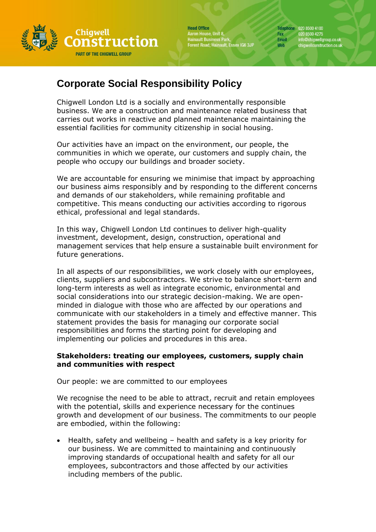

**Head Office** Aaron House, Unit 8,<br>Hainault Business Park,<br>Forest Road, Hainault, Essex IG6 3JP

Telephone 020 8500 4100 Fax 020 8500 4275<br>Email info@chigwellg info@chigwellgroup.co.uk<br>chigwellconstruction.co.uk Web

# **Corporate Social Responsibility Policy**

Chigwell London Ltd is a socially and environmentally responsible business. We are a construction and maintenance related business that carries out works in reactive and planned maintenance maintaining the essential facilities for community citizenship in social housing.

Our activities have an impact on the environment, our people, the communities in which we operate, our customers and supply chain, the people who occupy our buildings and broader society.

We are accountable for ensuring we minimise that impact by approaching our business aims responsibly and by responding to the different concerns and demands of our stakeholders, while remaining profitable and competitive. This means conducting our activities according to rigorous ethical, professional and legal standards.

In this way, Chigwell London Ltd continues to deliver high-quality investment, development, design, construction, operational and management services that help ensure a sustainable built environment for future generations.

In all aspects of our responsibilities, we work closely with our employees, clients, suppliers and subcontractors. We strive to balance short-term and long-term interests as well as integrate economic, environmental and social considerations into our strategic decision-making. We are openminded in dialogue with those who are affected by our operations and communicate with our stakeholders in a timely and effective manner. This statement provides the basis for managing our corporate social responsibilities and forms the starting point for developing and implementing our policies and procedures in this area.

## **Stakeholders: treating our employees, customers, supply chain and communities with respect**

Our people: we are committed to our employees

We recognise the need to be able to attract, recruit and retain employees with the potential, skills and experience necessary for the continues growth and development of our business. The commitments to our people are embodied, within the following:

• Health, safety and wellbeing – health and safety is a key priority for our business. We are committed to maintaining and continuously improving standards of occupational health and safety for all our employees, subcontractors and those affected by our activities including members of the public.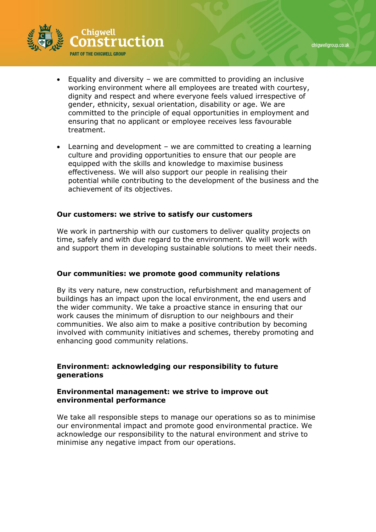

- Equality and diversity we are committed to providing an inclusive working environment where all employees are treated with courtesy, dignity and respect and where everyone feels valued irrespective of gender, ethnicity, sexual orientation, disability or age. We are committed to the principle of equal opportunities in employment and ensuring that no applicant or employee receives less favourable treatment.
- Learning and development we are committed to creating a learning culture and providing opportunities to ensure that our people are equipped with the skills and knowledge to maximise business effectiveness. We will also support our people in realising their potential while contributing to the development of the business and the achievement of its objectives.

#### **Our customers: we strive to satisfy our customers**

We work in partnership with our customers to deliver quality projects on time, safely and with due regard to the environment. We will work with and support them in developing sustainable solutions to meet their needs.

#### **Our communities: we promote good community relations**

By its very nature, new construction, refurbishment and management of buildings has an impact upon the local environment, the end users and the wider community. We take a proactive stance in ensuring that our work causes the minimum of disruption to our neighbours and their communities. We also aim to make a positive contribution by becoming involved with community initiatives and schemes, thereby promoting and enhancing good community relations.

## **Environment: acknowledging our responsibility to future generations**

#### **Environmental management: we strive to improve out environmental performance**

We take all responsible steps to manage our operations so as to minimise our environmental impact and promote good environmental practice. We acknowledge our responsibility to the natural environment and strive to minimise any negative impact from our operations.